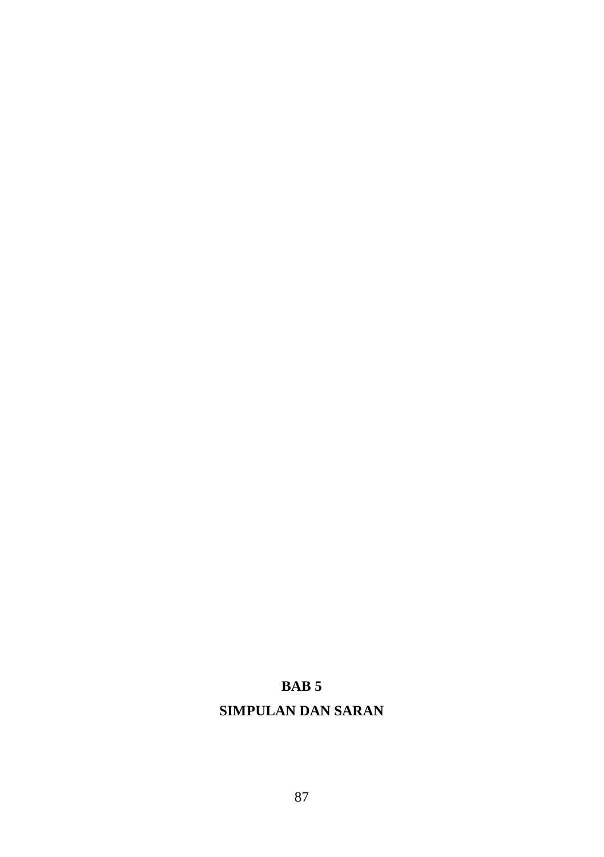# **BAB 5**

## **SIMPULAN DAN SARAN**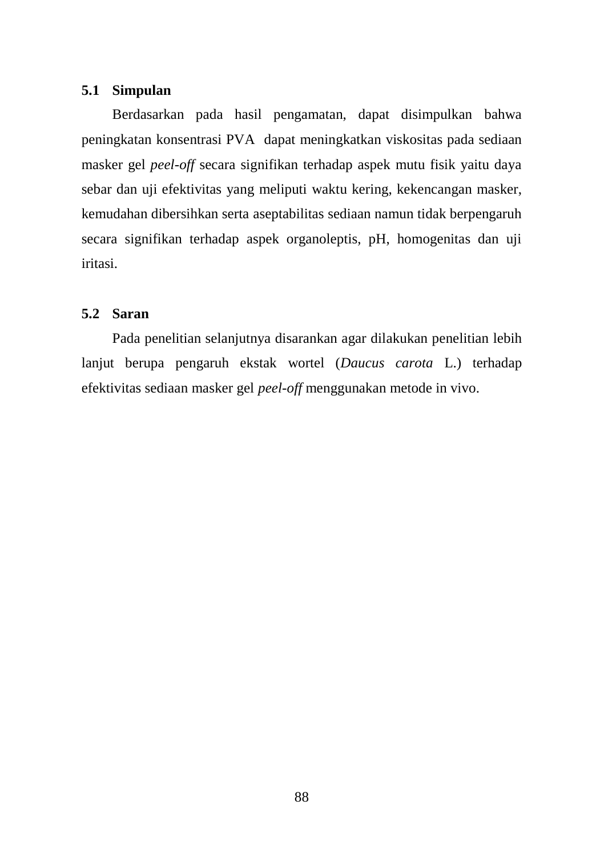## **5.1 Simpulan**

Berdasarkan pada hasil pengamatan, dapat disimpulkan bahwa peningkatan konsentrasi PVA dapat meningkatkan viskositas pada sediaan masker gel *peel-off* secara signifikan terhadap aspek mutu fisik yaitu daya sebar dan uji efektivitas yang meliputi waktu kering, kekencangan masker, kemudahan dibersihkan serta aseptabilitas sediaan namun tidak berpengaruh secara signifikan terhadap aspek organoleptis, pH, homogenitas dan uji iritasi.

### **5.2 Saran**

Pada penelitian selanjutnya disarankan agar dilakukan penelitian lebih lanjut berupa pengaruh ekstak wortel (*Daucus carota* L.) terhadap efektivitas sediaan masker gel *peel-off* menggunakan metode in vivo.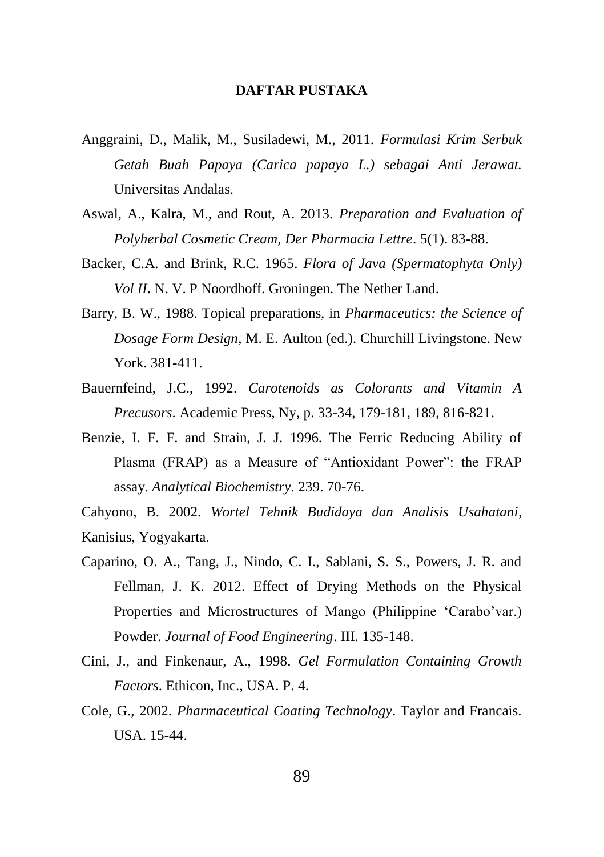### **DAFTAR PUSTAKA**

- Anggraini, D., Malik, M., Susiladewi, M., 2011. *Formulasi Krim Serbuk Getah Buah Papaya (Carica papaya L.) sebagai Anti Jerawat.* Universitas Andalas.
- Aswal, A., Kalra, M., and Rout, A. 2013. *Preparation and Evaluation of Polyherbal Cosmetic Cream, Der Pharmacia Lettre*. 5(1). 83-88.
- Backer, C.A. and Brink, R.C. 1965. *Flora of Java (Spermatophyta Only) Vol II***.** N. V. P Noordhoff. Groningen. The Nether Land.
- Barry, B. W., 1988. Topical preparations, in *Pharmaceutics: the Science of Dosage Form Design*, M. E. Aulton (ed.). Churchill Livingstone. New York. 381-411.
- Bauernfeind, J.C., 1992. *Carotenoids as Colorants and Vitamin A Precusors*. Academic Press, Ny, p. 33-34, 179-181, 189, 816-821.
- Benzie, I. F. F. and Strain, J. J. 1996. The Ferric Reducing Ability of Plasma (FRAP) as a Measure of "Antioxidant Power": the FRAP assay. *Analytical Biochemistry*. 239. 70-76.

Cahyono, B. 2002. *Wortel Tehnik Budidaya dan Analisis Usahatani*, Kanisius, Yogyakarta.

- Caparino, O. A., Tang, J., Nindo, C. I., Sablani, S. S., Powers, J. R. and Fellman, J. K. 2012. Effect of Drying Methods on the Physical Properties and Microstructures of Mango (Philippine 'Carabo'var.) Powder. *Journal of Food Engineering*. III. 135-148.
- Cini, J., and Finkenaur, A., 1998. *Gel Formulation Containing Growth Factors*. Ethicon, Inc., USA. P. 4.
- Cole, G., 2002. *Pharmaceutical Coating Technology*. Taylor and Francais. USA. 15-44.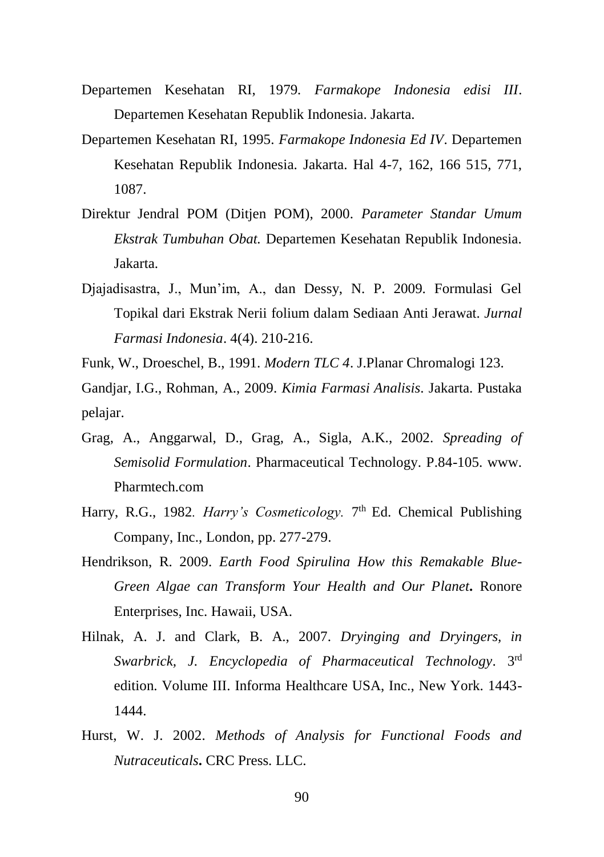- Departemen Kesehatan RI, 1979*. Farmakope Indonesia edisi III*. Departemen Kesehatan Republik Indonesia. Jakarta.
- Departemen Kesehatan RI, 1995. *Farmakope Indonesia Ed IV*. Departemen Kesehatan Republik Indonesia. Jakarta. Hal 4-7, 162, 166 515, 771, 1087.
- Direktur Jendral POM (Ditjen POM), 2000. *Parameter Standar Umum Ekstrak Tumbuhan Obat.* Departemen Kesehatan Republik Indonesia. Jakarta.
- Djajadisastra, J., Mun'im, A., dan Dessy, N. P. 2009. Formulasi Gel Topikal dari Ekstrak Nerii folium dalam Sediaan Anti Jerawat. *Jurnal Farmasi Indonesia*. 4(4). 210-216.
- Funk, W., Droeschel, B., 1991. *Modern TLC 4*. J.Planar Chromalogi 123.
- Gandjar, I.G., Rohman, A., 2009. *Kimia Farmasi Analisis*. Jakarta. Pustaka pelajar.
- Grag, A., Anggarwal, D., Grag, A., Sigla, A.K., 2002. *Spreading of Semisolid Formulation*. Pharmaceutical Technology. P.84-105. www. Pharmtech.com
- Harry, R.G., 1982. *Harry's Cosmeticology*. 7<sup>th</sup> Ed. Chemical Publishing Company, Inc., London, pp. 277-279.
- Hendrikson, R. 2009. *Earth Food Spirulina How this Remakable Blue-Green Algae can Transform Your Health and Our Planet***.** Ronore Enterprises, Inc. Hawaii, USA.
- Hilnak, A. J. and Clark, B. A., 2007. *Dryinging and Dryingers, in Swarbrick, J. Encyclopedia of Pharmaceutical Technology*. 3rd edition. Volume III. Informa Healthcare USA, Inc., New York. 1443- 1444.
- Hurst, W. J. 2002. *Methods of Analysis for Functional Foods and Nutraceuticals***.** CRC Press. LLC.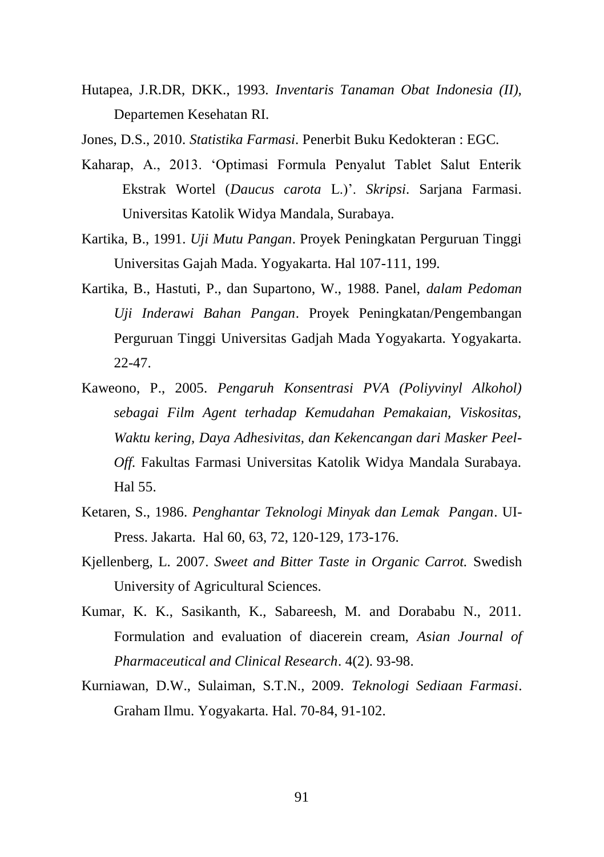Hutapea, J.R.DR, DKK., 1993. *Inventaris Tanaman Obat Indonesia (II),* Departemen Kesehatan RI.

Jones, D.S., 2010. *Statistika Farmasi*. Penerbit Buku Kedokteran : EGC.

- Kaharap, A., 2013. 'Optimasi Formula Penyalut Tablet Salut Enterik Ekstrak Wortel (*Daucus carota* L.)'. *Skripsi*. Sarjana Farmasi. Universitas Katolik Widya Mandala, Surabaya.
- Kartika, B., 1991. *Uji Mutu Pangan*. Proyek Peningkatan Perguruan Tinggi Universitas Gajah Mada. Yogyakarta. Hal 107-111, 199.
- Kartika, B., Hastuti, P., dan Supartono, W., 1988. Panel, *dalam Pedoman Uji Inderawi Bahan Pangan*. Proyek Peningkatan/Pengembangan Perguruan Tinggi Universitas Gadjah Mada Yogyakarta. Yogyakarta. 22-47.
- Kaweono, P., 2005. *Pengaruh Konsentrasi PVA (Poliyvinyl Alkohol) sebagai Film Agent terhadap Kemudahan Pemakaian, Viskositas, Waktu kering, Daya Adhesivitas, dan Kekencangan dari Masker Peel-Off.* Fakultas Farmasi Universitas Katolik Widya Mandala Surabaya. Hal 55.
- Ketaren, S., 1986. *Penghantar Teknologi Minyak dan Lemak Pangan*. UI-Press. Jakarta. Hal 60, 63, 72, 120-129, 173-176.
- Kjellenberg, L. 2007. *Sweet and Bitter Taste in Organic Carrot.* Swedish University of Agricultural Sciences.
- Kumar, K. K., Sasikanth, K., Sabareesh, M. and Dorababu N., 2011. Formulation and evaluation of diacerein cream, *Asian Journal of Pharmaceutical and Clinical Research*. 4(2). 93-98.
- Kurniawan, D.W., Sulaiman, S.T.N., 2009. *Teknologi Sediaan Farmasi*. Graham Ilmu. Yogyakarta. Hal. 70-84, 91-102.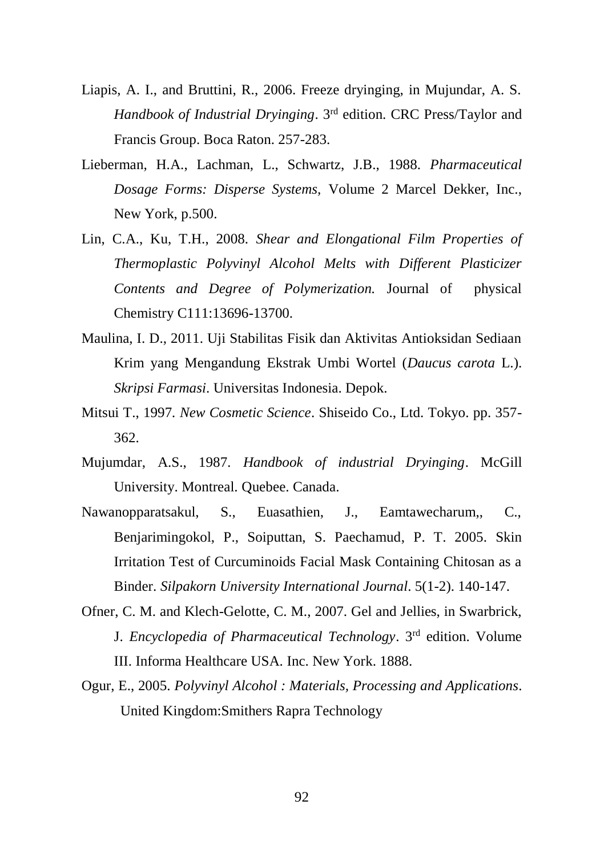- Liapis, A. I., and Bruttini, R., 2006. Freeze dryinging, in Mujundar, A. S. *Handbook of Industrial Dryinging*. 3rd edition. CRC Press/Taylor and Francis Group. Boca Raton. 257-283.
- Lieberman, H.A., Lachman, L., Schwartz, J.B., 1988. *Pharmaceutical Dosage Forms: Disperse Systems,* Volume 2 Marcel Dekker, Inc., New York, p.500.
- Lin, C.A., Ku, T.H., 2008. *Shear and Elongational Film Properties of Thermoplastic Polyvinyl Alcohol Melts with Different Plasticizer Contents and Degree of Polymerization.* Journal of physical Chemistry C111:13696-13700.
- Maulina, I. D., 2011. Uji Stabilitas Fisik dan Aktivitas Antioksidan Sediaan Krim yang Mengandung Ekstrak Umbi Wortel (*Daucus carota* L.). *Skripsi Farmasi*. Universitas Indonesia. Depok.
- Mitsui T., 1997*. New Cosmetic Science*. Shiseido Co., Ltd. Tokyo. pp. 357- 362.
- Mujumdar, A.S., 1987*. Handbook of industrial Dryinging*. McGill University. Montreal. Quebee. Canada.
- Nawanopparatsakul, S., Euasathien, J., Eamtawecharum,, C., Benjarimingokol, P., Soiputtan, S. Paechamud, P. T. 2005. Skin Irritation Test of Curcuminoids Facial Mask Containing Chitosan as a Binder. *Silpakorn University International Journal*. 5(1-2). 140-147.
- Ofner, C. M. and Klech-Gelotte, C. M., 2007. Gel and Jellies, in Swarbrick, J. *Encyclopedia of Pharmaceutical Technology*. 3rd edition. Volume III. Informa Healthcare USA. Inc. New York. 1888.
- Ogur, E., 2005. *Polyvinyl Alcohol : Materials, Processing and Applications*. United Kingdom:Smithers Rapra Technology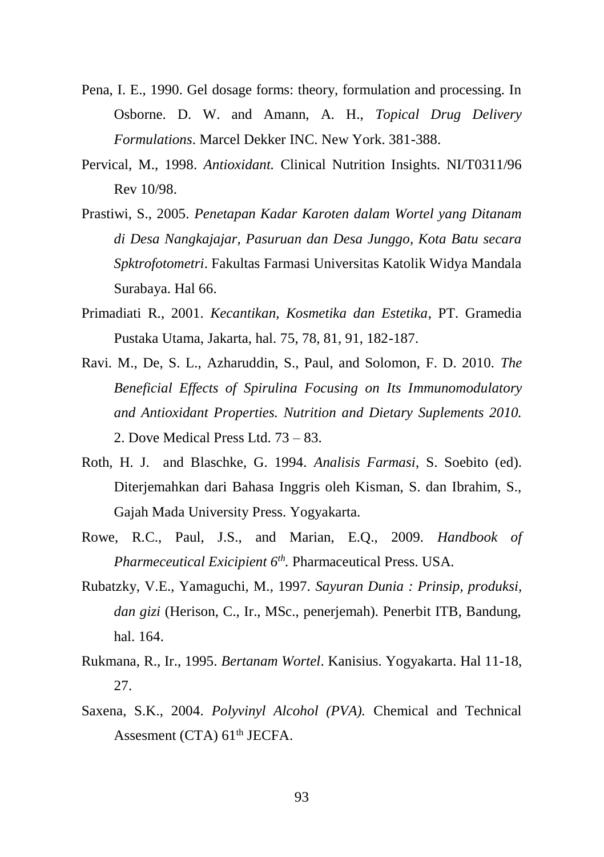- Pena, I. E., 1990. Gel dosage forms: theory, formulation and processing. In Osborne. D. W. and Amann, A. H., *Topical Drug Delivery Formulations*. Marcel Dekker INC. New York. 381-388.
- Pervical, M., 1998. *Antioxidant.* Clinical Nutrition Insights. NI/T0311/96 Rev 10/98.
- Prastiwi, S., 2005. *Penetapan Kadar Karoten dalam Wortel yang Ditanam di Desa Nangkajajar, Pasuruan dan Desa Junggo, Kota Batu secara Spktrofotometri*. Fakultas Farmasi Universitas Katolik Widya Mandala Surabaya. Hal 66.
- Primadiati R., 2001. *Kecantikan, Kosmetika dan Estetika*, PT. Gramedia Pustaka Utama, Jakarta, hal. 75, 78, 81, 91, 182-187.
- Ravi. M., De, S. L., Azharuddin, S., Paul, and Solomon, F. D. 2010. *The Beneficial Effects of Spirulina Focusing on Its Immunomodulatory and Antioxidant Properties. Nutrition and Dietary Suplements 2010.* 2. Dove Medical Press Ltd. 73 – 83.
- Roth, H. J. and Blaschke, G. 1994. *Analisis Farmasi*, S. Soebito (ed). Diterjemahkan dari Bahasa Inggris oleh Kisman, S. dan Ibrahim, S., Gajah Mada University Press. Yogyakarta.
- Rowe, R.C., Paul, J.S., and Marian, E.Q., 2009. *Handbook of Pharmeceutical Exicipient 6th .* Pharmaceutical Press. USA.
- Rubatzky, V.E., Yamaguchi, M., 1997. *Sayuran Dunia : Prinsip, produksi, dan gizi* (Herison, C., Ir., MSc., penerjemah). Penerbit ITB, Bandung, hal. 164.
- Rukmana, R., Ir., 1995. *Bertanam Wortel*. Kanisius. Yogyakarta. Hal 11-18, 27.
- Saxena, S.K., 2004. *Polyvinyl Alcohol (PVA).* Chemical and Technical Assesment  $(CTA)$  61<sup>th</sup> JECFA.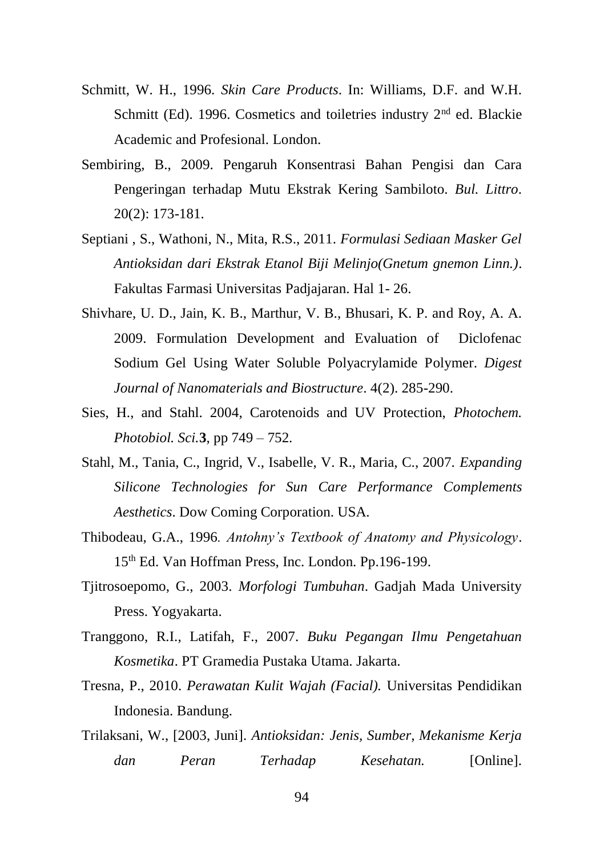- Schmitt, W. H., 1996. *Skin Care Products*. In: Williams, D.F. and W.H. Schmitt (Ed). 1996. Cosmetics and toiletries industry 2<sup>nd</sup> ed. Blackie Academic and Profesional. London.
- Sembiring, B., 2009. Pengaruh Konsentrasi Bahan Pengisi dan Cara Pengeringan terhadap Mutu Ekstrak Kering Sambiloto. *Bul. Littro*. 20(2): 173-181.
- Septiani , S., Wathoni, N., Mita, R.S., 2011. *Formulasi Sediaan Masker Gel Antioksidan dari Ekstrak Etanol Biji Melinjo(Gnetum gnemon Linn.)*. Fakultas Farmasi Universitas Padjajaran. Hal 1- 26.
- Shivhare, U. D., Jain, K. B., Marthur, V. B., Bhusari, K. P. and Roy, A. A. 2009. Formulation Development and Evaluation of Diclofenac Sodium Gel Using Water Soluble Polyacrylamide Polymer. *Digest Journal of Nanomaterials and Biostructure*. 4(2). 285-290.
- Sies, H., and Stahl. 2004, Carotenoids and UV Protection, *Photochem. Photobiol. Sci.***3**, pp 749 – 752.
- Stahl, M., Tania, C., Ingrid, V., Isabelle, V. R., Maria, C., 2007. *Expanding Silicone Technologies for Sun Care Performance Complements Aesthetics*. Dow Coming Corporation. USA.
- Thibodeau, G.A., 1996*. Antohny's Textbook of Anatomy and Physicology*. 15th Ed. Van Hoffman Press, Inc. London. Pp.196-199.
- Tjitrosoepomo, G., 2003. *Morfologi Tumbuhan*. Gadjah Mada University Press. Yogyakarta.
- Tranggono, R.I., Latifah, F., 2007. *Buku Pegangan Ilmu Pengetahuan Kosmetika*. PT Gramedia Pustaka Utama. Jakarta.
- Tresna, P., 2010. *Perawatan Kulit Wajah (Facial).* Universitas Pendidikan Indonesia. Bandung.
- Trilaksani, W., [2003, Juni]. *Antioksidan: Jenis, Sumber, Mekanisme Kerja dan Peran Terhadap Kesehatan.* [Online].